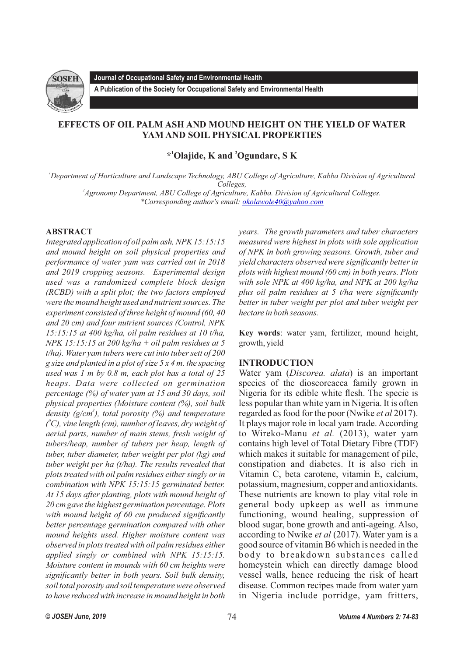

**Journal of Occupational Safety and Environmental Health**

**A Publication of the Society for Occupational Safety and Environmental Health** 

# **EFFECTS OF OIL PALM ASH AND MOUND HEIGHT ON THE YIELD OF WATER YAM AND SOIL PHYSICAL PROPERTIES**

**1 2 \* Olajide, K and Ogundare, S K**

*<sup>1</sup>Department of Horticulture and Landscape Technology, ABU College of Agriculture, Kabba Division of Agricultural Colleges,* 

*2 Agronomy Department, ABU College of Agriculture, Kabba. Division of Agricultural Colleges. \*Corresponding author's email: [okolawole40@yahoo.com](mailto:okolawole40@yahoo.com)*

## **ABSTRACT**

*Integrated application of oil palm ash, NPK 15:15:15 and mound height on soil physical properties and performance of water yam was carried out in 2018 and 2019 cropping seasons. Experimental design used was a randomized complete block design (RCBD) with a split plot; the two factors employed were the mound height used and nutrient sources. The experiment consisted of three height of mound (60, 40 and 20 cm) and four nutrient sources (Control, NPK 15:15:15 at 400 kg/ha, oil palm residues at 10 t/ha, NPK 15:15:15 at 200 kg/ha + oil palm residues at 5 t/ha). Water yam tubers were cut into tuber sett of 200 g size and planted in a plot of size 5 x 4 m. the spacing used was 1 m by 0.8 m, each plot has a total of 25 heaps. Data were collected on germination percentage (%) of water yam at 15 and 30 days, soil physical properties (Moisture content (%), soil bulk 3 density (g/cm ), total porosity (%) and temperature 0 ( C), vine length (cm), number of leaves, dry weight of aerial parts, number of main stems, fresh weight of tubers/heap, number of tubers per heap, length of tuber, tuber diameter, tuber weight per plot (kg) and tuber weight per ha (t/ha). The results revealed that plots treated with oil palm residues either singly or in combination with NPK 15:15:15 germinated better. At 15 days after planting, plots with mound height of 20 cm gave the highest germination percentage. Plots with mound height of 60 cm produced significantly better percentage germination compared with other mound heights used. Higher moisture content was observed in plots treated with oil palm residues either applied singly or combined with NPK 15:15:15. Moisture content in mounds with 60 cm heights were significantly better in both years. Soil bulk density, soil total porosity and soil temperature were observed to have reduced with increase in mound height in both* 

*years. The growth parameters and tuber characters measured were highest in plots with sole application of NPK in both growing seasons. Growth, tuber and yield characters observed were significantly better in plots with highest mound (60 cm) in both years. Plots with sole NPK at 400 kg/ha, and NPK at 200 kg/ha plus oil palm residues at 5 t/ha were significantly better in tuber weight per plot and tuber weight per hectare in both seasons.* 

**Key words**: water yam, fertilizer, mound height, growth, yield

## **INTRODUCTION**

Water yam (*Discorea. alata*) is an important species of the dioscoreacea family grown in Nigeria for its edible white flesh. The specie is less popular than white yam in Nigeria. It is often regarded as food for the poor (Nwike *et al* 2017). It plays major role in local yam trade. According to Wireko-Manu *et al.* (2013), water yam contains high level of Total Dietary Fibre (TDF) which makes it suitable for management of pile, constipation and diabetes. It is also rich in Vitamin C, beta carotene, vitamin E, calcium, potassium, magnesium, copper and antioxidants. These nutrients are known to play vital role in general body upkeep as well as immune functioning, wound healing, suppression of blood sugar, bone growth and anti-ageing. Also, according to Nwike *et al* (2017). Water yam is a good source of vitamin B6 which is needed in the body to breakdown substances called homcystein which can directly damage blood vessel walls, hence reducing the risk of heart disease. Common recipes made from water yam in Nigeria include porridge, yam fritters,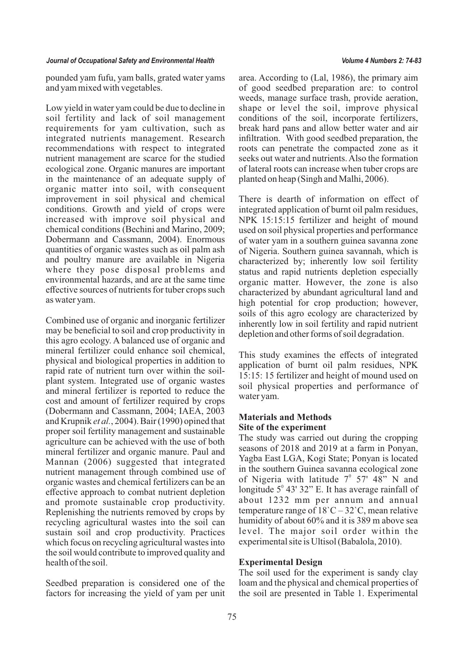pounded yam fufu, yam balls, grated water yams and yam mixed with vegetables.

Low yield in water yam could be due to decline in soil fertility and lack of soil management requirements for yam cultivation, such as integrated nutrients management. Research recommendations with respect to integrated nutrient management are scarce for the studied ecological zone. Organic manures are important in the maintenance of an adequate supply of organic matter into soil, with consequent improvement in soil physical and chemical conditions. Growth and yield of crops were increased with improve soil physical and chemical conditions (Bechini and Marino, 2009; Dobermann and Cassmann, 2004). Enormous quantities of organic wastes such as oil palm ash and poultry manure are available in Nigeria where they pose disposal problems and environmental hazards, and are at the same time effective sources of nutrients for tuber crops such as water yam.

Combined use of organic and inorganic fertilizer may be beneficial to soil and crop productivity in this agro ecology. A balanced use of organic and mineral fertilizer could enhance soil chemical, physical and biological properties in addition to rapid rate of nutrient turn over within the soilplant system. Integrated use of organic wastes and mineral fertilizer is reported to reduce the cost and amount of fertilizer required by crops (Dobermann and Cassmann, 2004; IAEA, 2003 and Krupnik *et al.*, 2004). Bair (1990) opined that proper soil fertility management and sustainable agriculture can be achieved with the use of both mineral fertilizer and organic manure. Paul and Mannan (2006) suggested that integrated nutrient management through combined use of organic wastes and chemical fertilizers can be an effective approach to combat nutrient depletion and promote sustainable crop productivity. Replenishing the nutrients removed by crops by recycling agricultural wastes into the soil can sustain soil and crop productivity. Practices which focus on recycling agricultural wastes into the soil would contribute to improved quality and health of the soil.

Seedbed preparation is considered one of the factors for increasing the yield of yam per unit

area. According to (Lal, 1986), the primary aim of good seedbed preparation are: to control weeds, manage surface trash, provide aeration, shape or level the soil, improve physical conditions of the soil, incorporate fertilizers, break hard pans and allow better water and air infiltration. With good seedbed preparation, the roots can penetrate the compacted zone as it seeks out water and nutrients. Also the formation of lateral roots can increase when tuber crops are planted on heap (Singh and Malhi, 2006).

There is dearth of information on effect of integrated application of burnt oil palm residues, NPK 15:15:15 fertilizer and height of mound used on soil physical properties and performance of water yam in a southern guinea savanna zone of Nigeria. Southern guinea savannah, which is characterized by; inherently low soil fertility status and rapid nutrients depletion especially organic matter. However, the zone is also characterized by abundant agricultural land and high potential for crop production; however, soils of this agro ecology are characterized by inherently low in soil fertility and rapid nutrient depletion and other forms of soil degradation.

This study examines the effects of integrated application of burnt oil palm residues, NPK 15:15: 15 fertilizer and height of mound used on soil physical properties and performance of water yam.

## **Materials and Methods Site of the experiment**

The study was carried out during the cropping seasons of 2018 and 2019 at a farm in Ponyan, Yagba East LGA, Kogi State; Ponyan is located in the southern Guinea savanna ecological zone of Nigeria with latitude  $7^{\circ}$  57' 48" N and longitude  $5^{\circ}$  43' 32" E. It has average rainfall of about 1232 mm per annum and annual temperature range of  $18^{\circ}C - 32^{\circ}C$ , mean relative humidity of about 60% and it is 389 m above sea level. The major soil order within the experimental site is Ultisol (Babalola, 2010).

## **Experimental Design**

The soil used for the experiment is sandy clay loam and the physical and chemical properties of the soil are presented in Table 1. Experimental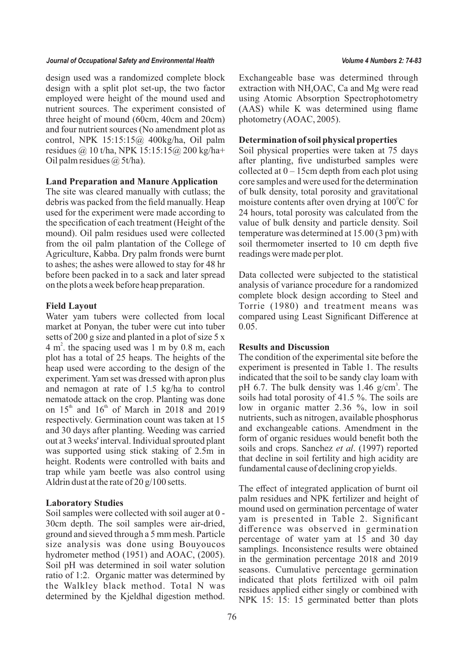design used was a randomized complete block design with a split plot set-up, the two factor employed were height of the mound used and nutrient sources. The experiment consisted of three height of mound (60cm, 40cm and 20cm) and four nutrient sources (No amendment plot as control, NPK 15:15:15@ 400kg/ha, Oil palm residues @ 10 t/ha, NPK 15:15:15@ 200 kg/ha+ Oil palm residues  $\omega$  5t/ha).

### **Land Preparation and Manure Application**

The site was cleared manually with cutlass; the debris was packed from the field manually. Heap used for the experiment were made according to the specification of each treatment (Height of the mound). Oil palm residues used were collected from the oil palm plantation of the College of Agriculture, Kabba. Dry palm fronds were burnt to ashes; the ashes were allowed to stay for 48 hr before been packed in to a sack and later spread on the plots a week before heap preparation.

### **Field Layout**

Water yam tubers were collected from local market at Ponyan, the tuber were cut into tuber setts of 200 g size and planted in a plot of size 5 x  $4 \text{ m}^2$ , the spacing used was 1 m by 0.8 m, each plot has a total of 25 heaps. The heights of the heap used were according to the design of the experiment. Yam set was dressed with apron plus and nemagon at rate of 1.5 kg/ha to control nematode attack on the crop. Planting was done on  $15<sup>th</sup>$  and  $16<sup>th</sup>$  of March in 2018 and 2019 respectively. Germination count was taken at 15 and 30 days after planting. Weeding was carried out at 3 weeks' interval. Individual sprouted plant was supported using stick staking of 2.5m in height. Rodents were controlled with baits and trap while yam beetle was also control using Aldrin dust at the rate of 20 g/100 setts.

### **Laboratory Studies**

Soil samples were collected with soil auger at 0 - 30cm depth. The soil samples were air-dried, ground and sieved through a 5 mm mesh. Particle size analysis was done using Bouyoucos hydrometer method (1951) and AOAC, (2005). Soil pH was determined in soil water solution ratio of 1:2. Organic matter was determined by the Walkley black method. Total N was determined by the Kjeldhal digestion method.

Exchangeable base was determined through extraction with  $NH<sub>4</sub>OAC$ , Ca and Mg were read using Atomic Absorption Spectrophotometry (AAS) while K was determined using flame photometry (AOAC, 2005).

### **Determination of soil physical properties**

Soil physical properties were taken at 75 days after planting, five undisturbed samples were collected at  $0 - 15$ cm depth from each plot using core samples and were used for the determination of bulk density, total porosity and gravitational moisture contents after oven drying at  $100^{\circ}$ C for 24 hours, total porosity was calculated from the value of bulk density and particle density. Soil temperature was determined at 15.00 (3 pm) with soil thermometer inserted to 10 cm depth five readings were made per plot.

Data collected were subjected to the statistical analysis of variance procedure for a randomized complete block design according to Steel and Torrie (1980) and treatment means was compared using Least Significant Difference at 0.05.

## **Results and Discussion**

The condition of the experimental site before the experiment is presented in Table 1. The results indicated that the soil to be sandy clay loam with pH 6.7. The bulk density was  $1.46$  g/cm<sup>3</sup>. The soils had total porosity of 41.5 %. The soils are low in organic matter 2.36 %, low in soil nutrients, such as nitrogen, available phosphorus and exchangeable cations. Amendment in the form of organic residues would benefit both the soils and crops. Sanchez *et al*. (1997) reported that decline in soil fertility and high acidity are fundamental cause of declining crop yields.

The effect of integrated application of burnt oil palm residues and NPK fertilizer and height of mound used on germination percentage of water yam is presented in Table 2. Significant difference was observed in germination percentage of water yam at 15 and 30 day samplings. Inconsistence results were obtained in the germination percentage 2018 and 2019 seasons. Cumulative percentage germination indicated that plots fertilized with oil palm residues applied either singly or combined with NPK 15: 15: 15 germinated better than plots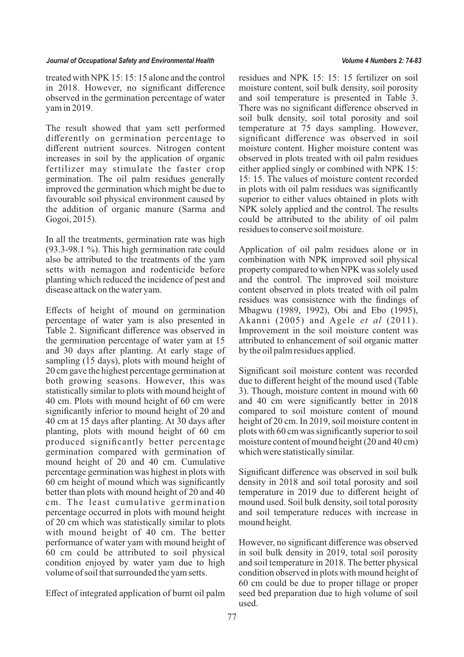treated with NPK 15: 15: 15 alone and the control in 2018. However, no significant difference observed in the germination percentage of water yam in 2019.

The result showed that yam sett performed differently on germination percentage to different nutrient sources. Nitrogen content increases in soil by the application of organic fertilizer may stimulate the faster crop germination. The oil palm residues generally improved the germination which might be due to favourable soil physical environment caused by the addition of organic manure (Sarma and Gogoi, 2015).

In all the treatments, germination rate was high (93.3-98.1 %). This high germination rate could also be attributed to the treatments of the yam setts with nemagon and rodenticide before planting which reduced the incidence of pest and disease attack on the water yam.

Effects of height of mound on germination percentage of water yam is also presented in Table 2. Significant difference was observed in the germination percentage of water yam at 15 and 30 days after planting. At early stage of sampling (15 days), plots with mound height of 20 cm gave the highest percentage germination at both growing seasons. However, this was statistically similar to plots with mound height of 40 cm. Plots with mound height of 60 cm were significantly inferior to mound height of 20 and 40 cm at 15 days after planting. At 30 days after planting, plots with mound height of 60 cm produced significantly better percentage germination compared with germination of mound height of 20 and 40 cm. Cumulative percentage germination was highest in plots with 60 cm height of mound which was significantly better than plots with mound height of 20 and 40 cm. The least cumulative germination percentage occurred in plots with mound height of 20 cm which was statistically similar to plots with mound height of 40 cm. The better performance of water yam with mound height of 60 cm could be attributed to soil physical condition enjoyed by water yam due to high volume of soil that surrounded the yam setts.

Effect of integrated application of burnt oil palm

residues and NPK 15: 15: 15 fertilizer on soil moisture content, soil bulk density, soil porosity and soil temperature is presented in Table 3. There was no significant difference observed in soil bulk density, soil total porosity and soil temperature at 75 days sampling. However, significant difference was observed in soil moisture content. Higher moisture content was observed in plots treated with oil palm residues either applied singly or combined with NPK 15: 15: 15. The values of moisture content recorded in plots with oil palm residues was significantly superior to either values obtained in plots with NPK solely applied and the control. The results could be attributed to the ability of oil palm residues to conserve soil moisture.

Application of oil palm residues alone or in combination with NPK improved soil physical property compared to when NPK was solely used and the control. The improved soil moisture content observed in plots treated with oil palm residues was consistence with the findings of Mbagwu (1989, 1992), Obi and Ebo (1995), Akanni (2005) and Agele *et al* (2011). Improvement in the soil moisture content was attributed to enhancement of soil organic matter by the oil palm residues applied.

Significant soil moisture content was recorded due to different height of the mound used (Table 3). Though, moisture content in mound with 60 and 40 cm were significantly better in 2018 compared to soil moisture content of mound height of 20 cm. In 2019, soil moisture content in plots with 60 cm was significantly superior to soil moisture content of mound height (20 and 40 cm) which were statistically similar.

Significant difference was observed in soil bulk density in 2018 and soil total porosity and soil temperature in 2019 due to different height of mound used. Soil bulk density, soil total porosity and soil temperature reduces with increase in mound height.

However, no significant difference was observed in soil bulk density in 2019, total soil porosity and soil temperature in 2018. The better physical condition observed in plots with mound height of 60 cm could be due to proper tillage or proper seed bed preparation due to high volume of soil used.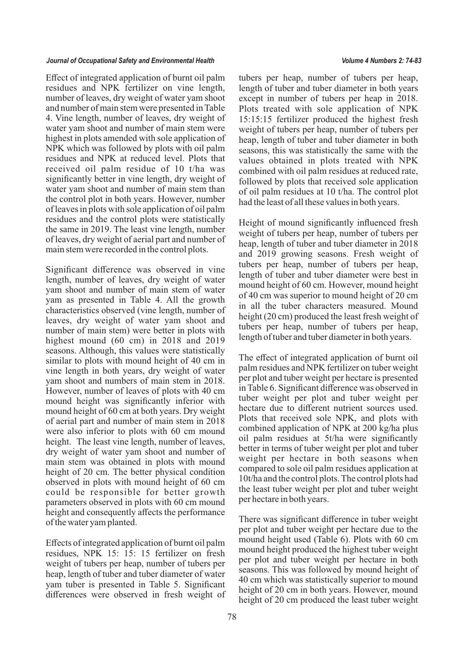Effect of integrated application of burnt oil palm residues and NPK fertilizer on vine length, number of leaves, dry weight of water yam shoot and number of main stem were presented in Table 4. Vine length, number of leaves, dry weight of water yam shoot and number of main stem were highest in plots amended with sole application of NPK which was followed by plots with oil palm residues and NPK at reduced level. Plots that received oil palm residue of 10 t/ha was significantly better in vine length, dry weight of water yam shoot and number of main stem than the control plot in both years. However, number of leaves in plots with sole application of oil palm residues and the control plots were statistically the same in 2019. The least vine length, number of leaves, dry weight of aerial part and number of main stem were recorded in the control plots.

Significant difference was observed in vine length, number of leaves, dry weight of water yam shoot and number of main stem of water yam as presented in Table 4. All the growth characteristics observed (vine length, number of leaves, dry weight of water yam shoot and number of main stem) were better in plots with highest mound (60 cm) in 2018 and 2019 seasons. Although, this values were statistically similar to plots with mound height of 40 cm in vine length in both years, dry weight of water yam shoot and numbers of main stem in 2018. However, number of leaves of plots with 40 cm mound height was significantly inferior with mound height of 60 cm at both years. Dry weight of aerial part and number of main stem in 2018 were also inferior to plots with 60 cm mound height. The least vine length, number of leaves, dry weight of water yam shoot and number of main stem was obtained in plots with mound height of 20 cm. The better physical condition observed in plots with mound height of 60 cm could be responsible for better growth parameters observed in plots with 60 cm mound height and consequently affects the performance of the water yam planted.

Effects of integrated application of burnt oil palm residues, NPK 15: 15: 15 fertilizer on fresh weight of tubers per heap, number of tubers per heap, length of tuber and tuber diameter of water yam tuber is presented in Table 5. Significant differences were observed in fresh weight of

tubers per heap, number of tubers per heap, length of tuber and tuber diameter in both years except in number of tubers per heap in 2018. Plots treated with sole application of NPK 15:15:15 fertilizer produced the highest fresh weight of tubers per heap, number of tubers per heap, length of tuber and tuber diameter in both seasons, this was statistically the same with the values obtained in plots treated with NPK combined with oil palm residues at reduced rate, followed by plots that received sole application of oil palm residues at 10 t/ha. The control plot had the least of all these values in both years.

Height of mound significantly influenced fresh weight of tubers per heap, number of tubers per heap, length of tuber and tuber diameter in 2018 and 2019 growing seasons. Fresh weight of tubers per heap, number of tubers per heap, length of tuber and tuber diameter were best in mound height of 60 cm. However, mound height of 40 cm was superior to mound height of 20 cm in all the tuber characters measured. Mound height (20 cm) produced the least fresh weight of tubers per heap, number of tubers per heap, length of tuber and tuber diameter in both years.

The effect of integrated application of burnt oil palm residues and NPK fertilizer on tuber weight per plot and tuber weight per hectare is presented in Table 6. Significant difference was observed in tuber weight per plot and tuber weight per hectare due to different nutrient sources used. Plots that received sole NPK, and plots with combined application of NPK at 200 kg/ha plus oil palm residues at 5t/ha were significantly better in terms of tuber weight per plot and tuber weight per hectare in both seasons when compared to sole oil palm residues application at 10t/ha and the control plots. The control plots had the least tuber weight per plot and tuber weight per hectare in both years.

There was significant difference in tuber weight per plot and tuber weight per hectare due to the mound height used (Table 6). Plots with 60 cm mound height produced the highest tuber weight per plot and tuber weight per hectare in both seasons. This was followed by mound height of 40 cm which was statistically superior to mound height of 20 cm in both years. However, mound height of 20 cm produced the least tuber weight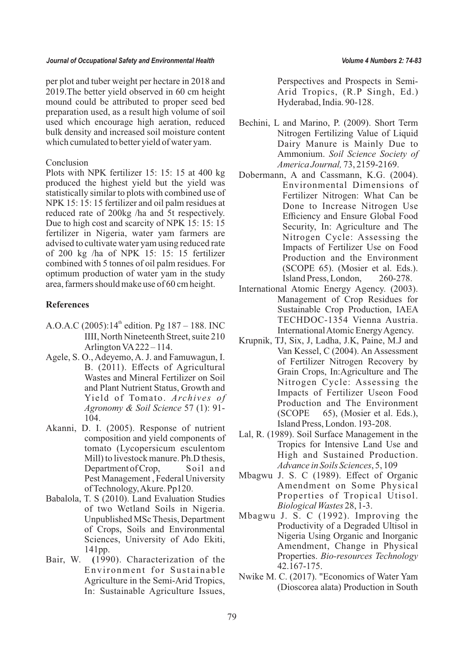per plot and tuber weight per hectare in 2018 and 2019.The better yield observed in 60 cm height mound could be attributed to proper seed bed preparation used, as a result high volume of soil used which encourage high aeration, reduced bulk density and increased soil moisture content which cumulated to better yield of water yam.

## Conclusion

Plots with NPK fertilizer 15: 15: 15 at 400 kg produced the highest yield but the yield was statistically similar to plots with combined use of NPK 15: 15: 15 fertilizer and oil palm residues at reduced rate of 200kg /ha and 5t respectively. Due to high cost and scarcity of NPK 15: 15: 15 fertilizer in Nigeria, water yam farmers are advised to cultivate water yam using reduced rate of 200 kg /ha of NPK 15: 15: 15 fertilizer combined with 5 tonnes of oil palm residues. For optimum production of water yam in the study area, farmers should make use of 60 cm height.

## **References**

- A.O.A.C (2005):14<sup>th</sup> edition. Pg 187 188. INC IIII, North Nineteenth Street, suite 210 Arlington VA222 – 114.
- Agele, S. O., Adeyemo, A. J. and Famuwagun, I. B. (2011). Effects of Agricultural Wastes and Mineral Fertilizer on Soil and Plant Nutrient Status, Growth and Yield of Tomato. *Archives of Agronomy & Soil Science* 57 (1): 91- 104.
- Akanni, D. I. (2005). Response of nutrient composition and yield components of tomato (Lycopersicum esculentom Mill) to livestock manure. Ph.D thesis, Department of Crop, Soil and Pest Management , Federal University of Technology, Akure. Pp120.
- Babalola, T. S (2010). Land Evaluation Studies of two Wetland Soils in Nigeria. Unpublished MSc Thesis, Department of Crops, Soils and Environmental Sciences, University of Ado Ekiti, 141pp.
- Bair, W. **(**1990). Characterization of the Environment for Sustainable Agriculture in the Semi-Arid Tropics, In: Sustainable Agriculture Issues,

Perspectives and Prospects in Semi-Arid Tropics, (R.P Singh, Ed.) Hyderabad, India. 90-128.

- Bechini, L and Marino, P. (2009). Short Term Nitrogen Fertilizing Value of Liquid Dairy Manure is Mainly Due to Ammonium. *Soil Science Society of America Journal,* 73, 2159-2169.
- Dobermann, A and Cassmann, K.G. (2004). Environmental Dimensions of Fertilizer Nitrogen: What Can be Done to Increase Nitrogen Use Efficiency and Ensure Global Food Security, In: Agriculture and The Nitrogen Cycle: Assessing the Impacts of Fertilizer Use on Food Production and the Environment (SCOPE 65). (Mosier et al. Eds.). Island Press, London, 260-278.
- International Atomic Energy Agency. (2003). Management of Crop Residues for Sustainable Crop Production, IAEA TECHDOC-1354 Vienna Austria. International Atomic Energy Agency.
- Krupnik, TJ, Six, J, Ladha, J.K, Paine, M.J and Van Kessel, C (2004). An Assessment of Fertilizer Nitrogen Recovery by Grain Crops, In:Agriculture and The Nitrogen Cycle: Assessing the Impacts of Fertilizer Useon Food Production and The Environment (SCOPE 65), (Mosier et al. Eds.), Island Press, London. 193-208.
- Lal, R. (1989). Soil Surface Management in the Tropics for Intensive Land Use and High and Sustained Production. *Advance in Soils Sciences*, 5, 109
- Mbagwu J. S. C (1989). Effect of Organic Amendment on Some Physical Properties of Tropical Utisol. *Biological Wastes* 28, 1-3.
- Mbagwu J. S. C (1992). Improving the Productivity of a Degraded Ultisol in Nigeria Using Organic and Inorganic Amendment, Change in Physical Properties. *Bio-resources Technology* 42.167-175.
- Nwike M. C. (2017). "Economics of Water Yam (Dioscorea alata) Production in South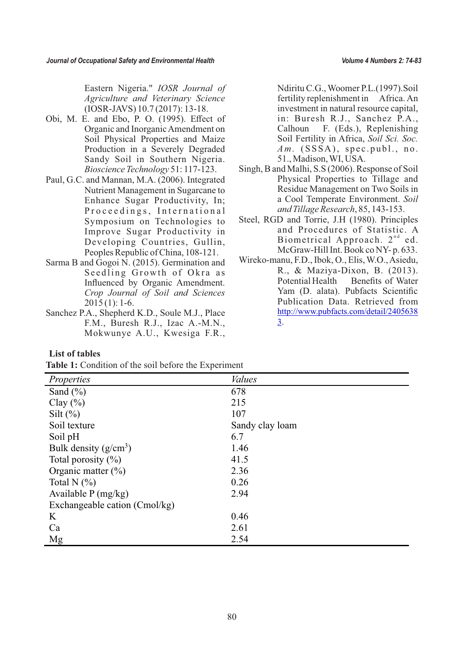Eastern Nigeria." *IOSR Journal of Agriculture and Veterinary Science* (IOSR-JAVS) 10.7 (2017): 13-18.

- Obi, M. E. and Ebo, P. O. (1995). Effect of Organic and Inorganic Amendment on Soil Physical Properties and Maize Production in a Severely Degraded Sandy Soil in Southern Nigeria. *Bioscience Technology* 51: 117-123.
- Paul, G.C. and Mannan, M.A. (2006). Integrated Nutrient Management in Sugarcane to Enhance Sugar Productivity, In; Proceedings, International Symposium on Technologies to Improve Sugar Productivity in Developing Countries, Gullin, Peoples Republic of China, 108-121.
- Sarma B and Gogoi N. (2015). Germination and Seedling Growth of Okra as Influenced by Organic Amendment. *Crop Journal of Soil and Sciences*  $2015(1): 1-6.$
- Sanchez P.A., Shepherd K.D., Soule M.J., Place F.M., Buresh R.J., Izac A.-M.N., Mokwunye A.U., Kwesiga F.R.,

Ndiritu C.G., Woomer P.L.(1997).Soil fertility replenishment in Africa. An investment in natural resource capital, in: Buresh R.J., Sanchez P.A., Calhoun F. (Eds.), Replenishing Soil Fertility in Africa, *Soil Sci. Soc.*   $Am.$  (SSSA), spec.publ., no. 51., Madison, WI, USA.

- Singh, B and Malhi, S.S (2006). Response of Soil Physical Properties to Tillage and Residue Management on Two Soils in a Cool Temperate Environment. *Soil and Tillage Research*, 85, 143-153.
- Steel, RGD and Torrie, J.H (1980). Principles and Procedures of Statistic. A Biometrical Approach.  $2<sup>nd</sup>$  ed. McGraw-Hill Int. Book co NY- p. 633.
- Wireko-manu, F.D., Ibok, O., Elis, W.O., Asiedu, R., & Maziya-Dixon, B. (2013). Potential Health Benefits of Water Yam (D. alata). Pubfacts Scientific Publication Data. Retrieved from [http://www.pubfacts.com/detail/2405638](http://www.pubfacts.com/detail/24056383) [3](http://www.pubfacts.com/detail/24056383).

## **List of tables**

**Table 1:** Condition of the soil before the Experiment

| Properties                    | <b>Values</b>   |
|-------------------------------|-----------------|
| Sand $(\% )$                  | 678             |
| Clay $(\% )$                  | 215             |
| Silt $(\%)$                   | 107             |
| Soil texture                  | Sandy clay loam |
| Soil pH                       | 6.7             |
| Bulk density $(g/cm^3)$       | 1.46            |
| Total porosity $(\%)$         | 41.5            |
| Organic matter $(\%)$         | 2.36            |
| Total N $(\%)$                | 0.26            |
| Available $P(mg/kg)$          | 2.94            |
| Exchangeable cation (Cmol/kg) |                 |
| K                             | 0.46            |
| Ca                            | 2.61            |
| Mg                            | 2.54            |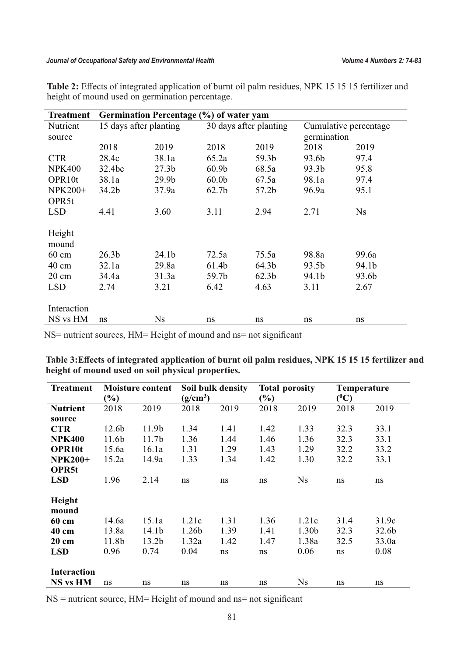| <b>Treatment</b>                                                             |                                             | Germination Percentage (%) of water yam |                                 |                                             |                                 |                                      |
|------------------------------------------------------------------------------|---------------------------------------------|-----------------------------------------|---------------------------------|---------------------------------------------|---------------------------------|--------------------------------------|
| Nutrient<br>source                                                           | 15 days after planting                      |                                         |                                 | 30 days after planting                      |                                 | Cumulative percentage<br>germination |
|                                                                              | 2018                                        | 2019                                    | 2018                            | 2019                                        | 2018                            | 2019                                 |
| <b>CTR</b>                                                                   | 28.4c                                       | 38.1a                                   | 65.2a                           | 59.3b                                       | 93.6b                           | 97.4                                 |
| <b>NPK400</b>                                                                | 32.4bc                                      | 27.3 <sub>b</sub>                       | 60.9 <sub>b</sub>               | 68.5a                                       | 93.3b                           | 95.8                                 |
| OPR10t                                                                       | 38.1a                                       | 29.9 <sub>b</sub>                       | 60.0 <sub>b</sub>               | 67.5a                                       | 98.1a                           | 97.4                                 |
| <b>NPK200+</b>                                                               | 34.2 <sub>b</sub>                           | 37.9a                                   | 62.7 <sub>b</sub>               | 57.2b                                       | 96.9a                           | 95.1                                 |
| OPR <sub>5t</sub>                                                            |                                             |                                         |                                 |                                             |                                 |                                      |
| <b>LSD</b>                                                                   | 4.41                                        | 3.60                                    | 3.11                            | 2.94                                        | 2.71                            | Ns                                   |
| Height<br>mound<br>$60 \text{ cm}$<br>$40 \text{ cm}$<br>20 cm<br><b>LSD</b> | 26.3 <sub>b</sub><br>32.1a<br>34.4a<br>2.74 | 24.1b<br>29.8a<br>31.3a<br>3.21         | 72.5a<br>61.4b<br>59.7b<br>6.42 | 75.5a<br>64.3b<br>62.3 <sub>b</sub><br>4.63 | 98.8a<br>93.5b<br>94.1b<br>3.11 | 99.6a<br>94.1b<br>93.6b<br>2.67      |
| Interaction                                                                  |                                             |                                         |                                 |                                             |                                 |                                      |
| NS vs HM                                                                     | ns                                          | Ns                                      | ns                              | ns                                          | ns                              | ns                                   |

**Table 2:** Effects of integrated application of burnt oil palm residues, NPK 15 15 15 fertilizer and height of mound used on germination percentage.

NS= nutrient sources, HM= Height of mound and ns= not significant

| Table 3: Effects of integrated application of burnt oil palm residues, NPK 15 15 15 fertilizer and |  |
|----------------------------------------------------------------------------------------------------|--|
| height of mound used on soil physical properties.                                                  |  |

| <b>Treatment</b>                      | <b>Moisture content</b><br>$(\%)$ |                   | Soil bulk density<br>$(g/cm^3)$ |      | <b>Total porosity</b><br>$\left(\frac{0}{0}\right)$ |           | <b>Temperature</b><br>$(^0C)$ |       |
|---------------------------------------|-----------------------------------|-------------------|---------------------------------|------|-----------------------------------------------------|-----------|-------------------------------|-------|
| <b>Nutrient</b>                       | 2018                              | 2019              | 2018                            | 2019 | 2018                                                | 2019      | 2018                          | 2019  |
| source                                |                                   |                   |                                 |      |                                                     |           |                               |       |
| <b>CTR</b>                            | 12.6b                             | 11.9b             | 1.34                            | 1.41 | 1.42                                                | 1.33      | 32.3                          | 33.1  |
| <b>NPK400</b>                         | 11.6b                             | 11.7 <sub>b</sub> | 1.36                            | 1.44 | 1.46                                                | 1.36      | 32.3                          | 33.1  |
| <b>OPR10t</b>                         | 15.6a                             | 16.1a             | 1.31                            | 1.29 | 1.43                                                | 1.29      | 32.2                          | 33.2  |
| <b>NPK200+</b>                        | 15.2a                             | 14.9a             | 1.33                            | 1.34 | 1.42                                                | 1.30      | 32.2                          | 33.1  |
| <b>OPR5t</b>                          |                                   |                   |                                 |      |                                                     |           |                               |       |
| <b>LSD</b>                            | 1.96                              | 2.14              | ns                              | ns   | ns                                                  | <b>Ns</b> | ns                            | ns    |
| Height<br>mound                       |                                   |                   |                                 |      |                                                     |           |                               |       |
| 60 cm                                 | 14.6a                             | 15.1a             | 1.21c                           | 1.31 | 1.36                                                | 1.21c     | 31.4                          | 31.9c |
| 40 cm                                 | 13.8a                             | 14.1 <sub>b</sub> | 1.26b                           | 1.39 | 1.41                                                | 1.30b     | 32.3                          | 32.6b |
| 20 cm                                 | 11.8b                             | 13.2 <sub>b</sub> | 1.32a                           | 1.42 | 1.47                                                | 1.38a     | 32.5                          | 33.0a |
| <b>LSD</b>                            | 0.96                              | 0.74              | 0.04                            | ns   | ns                                                  | 0.06      | ns                            | 0.08  |
| <b>Interaction</b><br><b>NS vs HM</b> | ns                                | ns                | ns                              | ns   | ns                                                  | <b>Ns</b> | ns                            | ns    |
|                                       |                                   |                   |                                 |      |                                                     |           |                               |       |

NS = nutrient source, HM= Height of mound and ns= not significant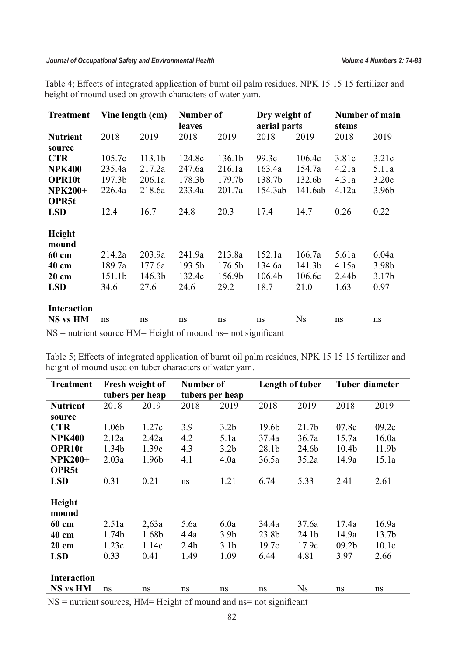| <b>Treatment</b>   |                    | Vine length (cm)   | Number of |        | Dry weight of |           | Number of main |                   |
|--------------------|--------------------|--------------------|-----------|--------|---------------|-----------|----------------|-------------------|
|                    |                    |                    | leaves    |        | aerial parts  |           | stems          |                   |
| <b>Nutrient</b>    | 2018               | 2019               | 2018      | 2019   | 2018          | 2019      | 2018           | 2019              |
| source             |                    |                    |           |        |               |           |                |                   |
| <b>CTR</b>         | 105.7c             | 113.1 <sub>b</sub> | 124.8c    | 136.1b | 99.3c         | 106.4c    | 3.81c          | 3.21c             |
| <b>NPK400</b>      | 235.4a             | 217.2a             | 247.6a    | 216.1a | 163.4a        | 154.7a    | 4.21a          | 5.11a             |
| <b>OPR10t</b>      | 197.3 <sub>b</sub> | 206.1a             | 178.3b    | 179.7b | 138.7b        | 132.6b    | 4.31a          | 3.20c             |
| <b>NPK200+</b>     | 226.4a             | 218.6a             | 233.4a    | 201.7a | 154.3ab       | 141.6ab   | 4.12a          | 3.96b             |
| OPR <sub>5t</sub>  |                    |                    |           |        |               |           |                |                   |
| <b>LSD</b>         | 12.4               | 16.7               | 24.8      | 20.3   | 17.4          | 14.7      | 0.26           | 0.22              |
|                    |                    |                    |           |        |               |           |                |                   |
| Height             |                    |                    |           |        |               |           |                |                   |
| mound              |                    |                    |           |        |               |           |                |                   |
| 60 cm              | 214.2a             | 203.9a             | 241.9a    | 213.8a | 152.1a        | 166.7a    | 5.61a          | 6.04a             |
| 40 cm              | 189.7a             | 177.6a             | 193.5b    | 176.5b | 134.6a        | 141.3b    | 4.15a          | 3.98b             |
| 20 cm              | 151.1b             | 146.3b             | 132.4c    | 156.9b | 106.4b        | 106.6c    | 2.44b          | 3.17 <sub>b</sub> |
| <b>LSD</b>         | 34.6               | 27.6               | 24.6      | 29.2   | 18.7          | 21.0      | 1.63           | 0.97              |
|                    |                    |                    |           |        |               |           |                |                   |
| <b>Interaction</b> |                    |                    |           |        |               |           |                |                   |
| <b>NS vs HM</b>    | ns                 | ns                 | ns        | ns     | ns            | <b>Ns</b> | ns             | ns                |

Table 4; Effects of integrated application of burnt oil palm residues, NPK 15 15 15 fertilizer and height of mound used on growth characters of water yam.

NS = nutrient source HM= Height of mound ns= not significant

Table 5; Effects of integrated application of burnt oil palm residues, NPK 15 15 15 fertilizer and height of mound used on tuber characters of water yam.

| <b>Treatment</b>   |       | Fresh weight of | Number of        |                  | Length of tuber   |                   | <b>Tuber diameter</b> |                   |
|--------------------|-------|-----------------|------------------|------------------|-------------------|-------------------|-----------------------|-------------------|
|                    |       | tubers per heap |                  | tubers per heap  |                   |                   |                       |                   |
| <b>Nutrient</b>    | 2018  | 2019            | 2018             | 2019             | 2018              | 2019              | 2018                  | 2019              |
| source             |       |                 |                  |                  |                   |                   |                       |                   |
| <b>CTR</b>         | 1.06b | 1.27c           | 3.9              | 3.2 <sub>b</sub> | 19.6 <sub>b</sub> | 21.7 <sub>b</sub> | 07.8c                 | 09.2c             |
| <b>NPK400</b>      | 2.12a | 2.42a           | 4.2              | 5.1a             | 37.4a             | 36.7a             | 15.7a                 | 16.0a             |
| <b>OPR10t</b>      | 1.34b | 1.39c           | 4.3              | 3.2 <sub>b</sub> | 28.1 <sub>b</sub> | 24.6b             | 10.4 <sub>b</sub>     | 11.9b             |
| <b>NPK200+</b>     | 2.03a | 1.96b           | 4.1              | 4.0a             | 36.5a             | 35.2a             | 14.9a                 | 15.1a             |
| OPR <sub>5t</sub>  |       |                 |                  |                  |                   |                   |                       |                   |
| <b>LSD</b>         | 0.31  | 0.21            | ns               | 1.21             | 6.74              | 5.33              | 2.41                  | 2.61              |
|                    |       |                 |                  |                  |                   |                   |                       |                   |
| Height             |       |                 |                  |                  |                   |                   |                       |                   |
| mound              |       |                 |                  |                  |                   |                   |                       |                   |
| 60 cm              | 2.51a | 2,63a           | 5.6a             | 6.0a             | 34.4a             | 37.6a             | 17.4a                 | 16.9a             |
| 40 cm              | 1.74b | 1.68b           | 4.4a             | 3.9 <sub>b</sub> | 23.8b             | 24.1b             | 14.9a                 | 13.7 <sub>b</sub> |
| 20 cm              | 1.23c | 1.14c           | 2.4 <sub>b</sub> | 3.1 <sub>b</sub> | 19.7c             | 17.9c             | 09.2 <sub>b</sub>     | 10.1c             |
| <b>LSD</b>         | 0.33  | 0.41            | 1.49             | 1.09             | 6.44              | 4.81              | 3.97                  | 2.66              |
|                    |       |                 |                  |                  |                   |                   |                       |                   |
| <b>Interaction</b> |       |                 |                  |                  |                   |                   |                       |                   |
| <b>NS vs HM</b>    | ns    | ns              | ns               | ns               | ns                | <b>Ns</b>         | ns                    | ns                |

NS = nutrient sources, HM= Height of mound and ns= not significant